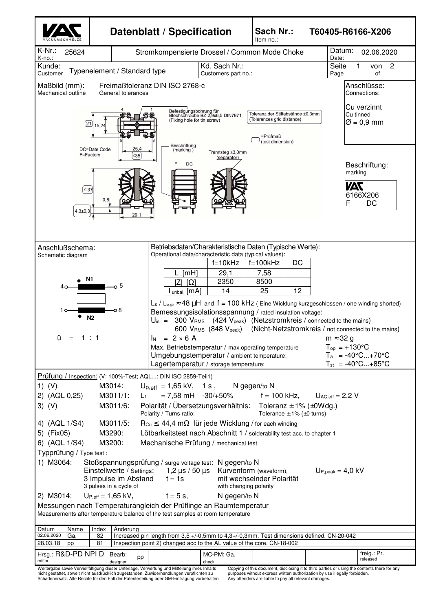